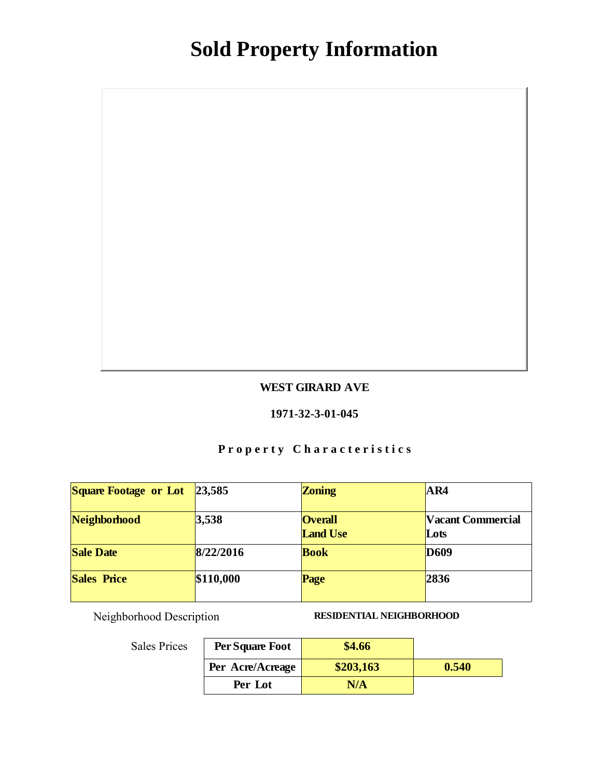### WEST GIRARD AVE

#### 1971-32-3-01-045

# Property Characteristics

| Square Footage or Lot | 23,585    | Zoning                            | AR4                       |
|-----------------------|-----------|-----------------------------------|---------------------------|
| Neighborhood          | 3,538     | <b>Overall</b><br><b>Land Use</b> | Vacant Commercial<br>Lots |
| <b>Sale Date</b>      | 8/22/2016 | <b>Book</b>                       | D <sub>609</sub>          |
| Sales Price           | \$110,000 | Page                              | 2836                      |

Neighborhood Description RESIDENTIAL NEIGHBORHOOD

| Per Square Foot  | \$4.66    |       |
|------------------|-----------|-------|
| Per Acre/Acreage | \$203,163 | 0.540 |
| Per Lot          | N/A       |       |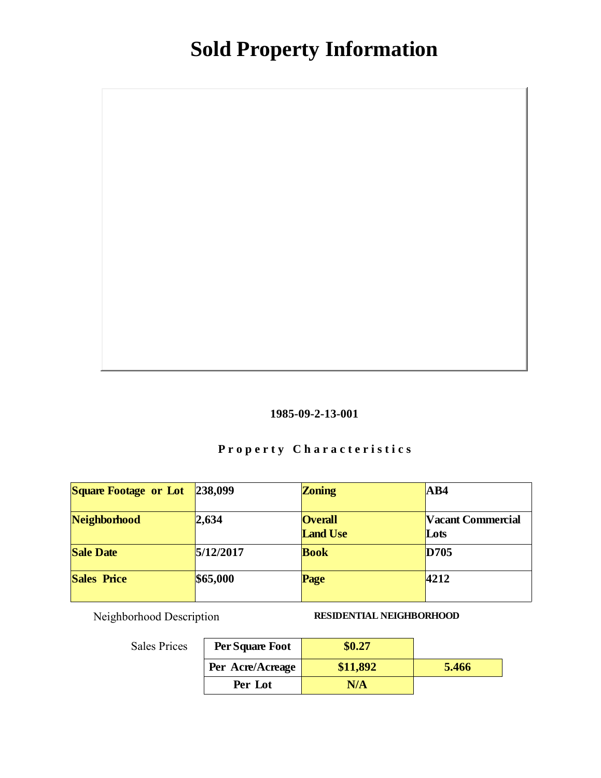

# Property Characteristics

| Square Footage or Lot | 238,099   | Zoning                            | AB4                       |
|-----------------------|-----------|-----------------------------------|---------------------------|
| Neighborhood          | 2,634     | <b>Overall</b><br><b>Land Use</b> | Vacant Commercial<br>Lots |
| <b>Sale Date</b>      | 5/12/2017 | <b>Book</b>                       | D705                      |
| Sales Price           | \$65,000  | Page                              | 4212                      |

Neighborhood Description RESIDENTIAL NEIGHBORHOOD

| Per Square Foot  |          |       |
|------------------|----------|-------|
| Per Acre/Acreage | \$11,892 | 5.466 |
| Per Lot          | N/A      |       |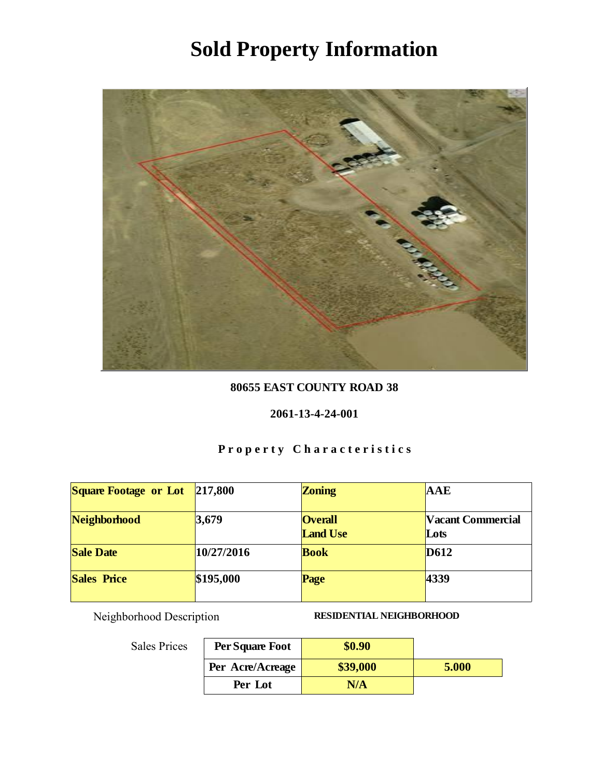

### 80655 EAST COUNTY ROAD 38

#### 2061-13-4-24-001

# Property Characteristics

| Square Footage or Lot | 217,800    | Zoning                            | <b>AAE</b>                |
|-----------------------|------------|-----------------------------------|---------------------------|
| Neighborhood          | 3,679      | <b>Overall</b><br><b>Land Use</b> | Vacant Commercial<br>Lots |
| <b>Sale Date</b>      | 10/27/2016 | <b>Book</b>                       | D612                      |
| <b>Sales Price</b>    | \$195,000  | Page                              | 4339                      |

Neighborhood Description RESIDENTIAL NEIGHBORHOOD

| Per Square Foot  | \$0.90   |       |
|------------------|----------|-------|
| Per Acre/Acreage | \$39,000 | 5.000 |
| Per Lot          | N/A      |       |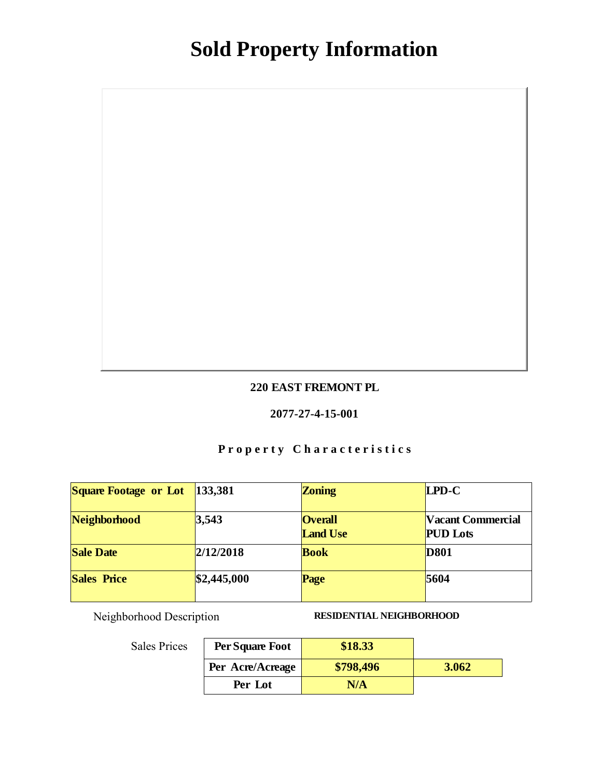### 220 EAST FREMONT PL

#### 2077-27-4-15-001

# Property Characteristics

| Square Footage or Lot | 133,381     | Zoning                            | LPD-C                                |
|-----------------------|-------------|-----------------------------------|--------------------------------------|
| Neighborhood          | 3,543       | <b>Overall</b><br><b>Land Use</b> | Vacant Commercial<br><b>PUD</b> Lots |
| Sale Date             | 2/12/2018   | <b>Book</b>                       | D801                                 |
| Sales Price           | \$2,445,000 | Page                              | 5604                                 |

Neighborhood Description RESIDENTIAL NEIGHBORHOOD

| Per Square Foot  | \$18.33   |       |
|------------------|-----------|-------|
| Per Acre/Acreage | \$798,496 | 3.062 |
| Per Lot          | N/A       |       |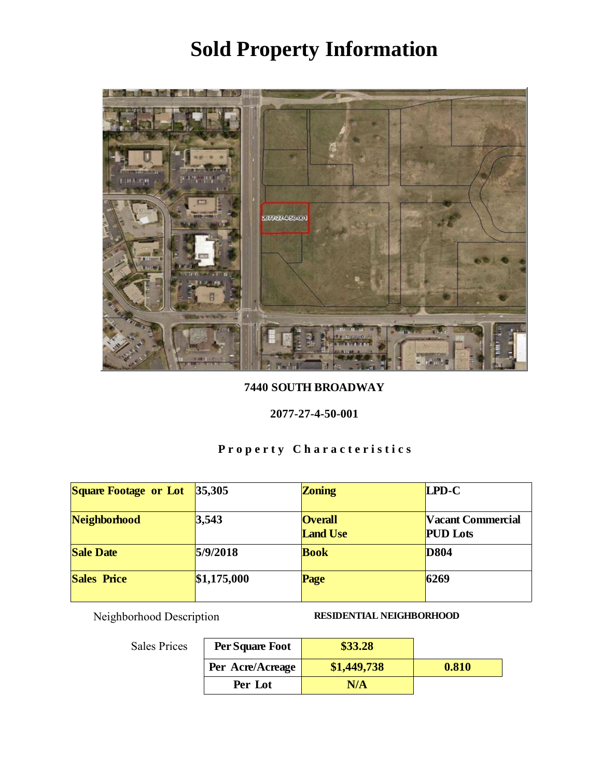

7440 SOUTH BROADWAY

#### 2077-27-4-50-001

# Property Characteristics

| <b>Square Footage or Lot</b> | 35,305      | Zoning                            | LPD-C                                |
|------------------------------|-------------|-----------------------------------|--------------------------------------|
| Neighborhood                 | 3,543       | <b>Overall</b><br><b>Land Use</b> | Vacant Commercial<br><b>PUD</b> Lots |
| <b>Sale Date</b>             | 5/9/2018    | <b>Book</b>                       | D804                                 |
| <b>Sales Price</b>           | \$1,175,000 | Page                              | 6269                                 |

Neighborhood Description RESIDENTIAL NEIGHBORHOOD

| Per Square Foot  | \$33.28     |       |
|------------------|-------------|-------|
| Per Acre/Acreage | \$1,449,738 | 0.810 |
| Per Lot          | N/A         |       |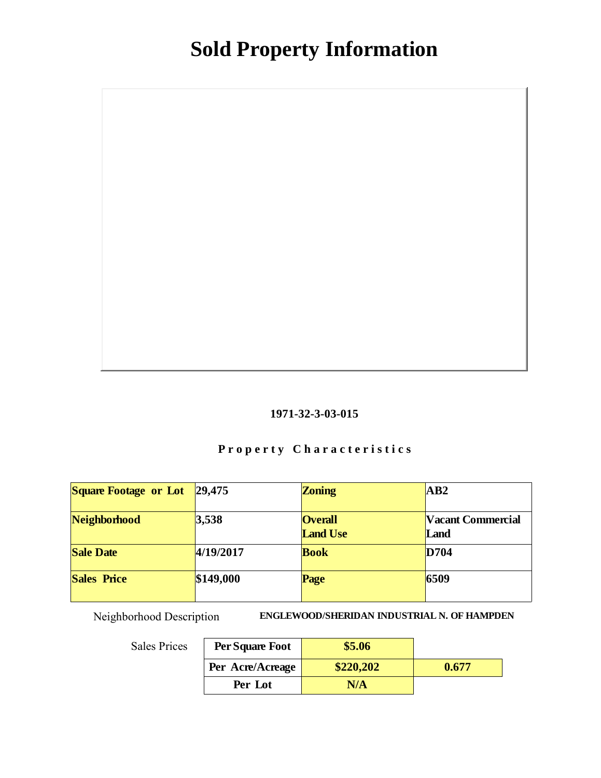#### 1971-32-3-03-015

# Property Characteristics

| <b>Square Footage or Lot</b> | 29,475    | Zoning                            | AB <sub>2</sub>           |
|------------------------------|-----------|-----------------------------------|---------------------------|
| Neighborhood                 | 3,538     | <b>Overall</b><br><b>Land Use</b> | Vacant Commercial<br>Land |
| <b>Sale Date</b>             | 4/19/2017 | <b>Book</b>                       | D704                      |
| Sales Price                  | \$149,000 | Page                              | 6509                      |

Neighborhood Description ENGLEWOOD/SHERIDAN INDUSTRIAL N. OF HAMPDEN

| Per Square Foot  | \$5.06    |       |
|------------------|-----------|-------|
| Per Acre/Acreage | \$220,202 | 0.677 |
| Per Lot          | N/A       |       |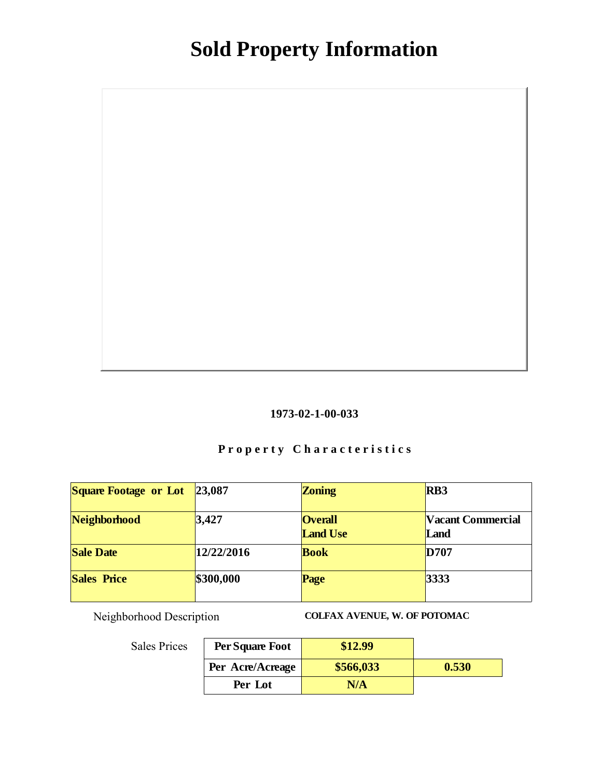

# Property Characteristics

| Square Footage or Lot | 23,087     | Zoning                            | R <sub>B</sub> 3          |
|-----------------------|------------|-----------------------------------|---------------------------|
| Neighborhood          | 3,427      | <b>Overall</b><br><b>Land Use</b> | Vacant Commercial<br>Land |
| <b>Sale Date</b>      | 12/22/2016 | <b>Book</b>                       | D707                      |
| Sales Price           | \$300,000  | Page                              | 3333                      |

Neighborhood Description COLFAX AVENUE, W. OF POTOMAC

| Per Square Foot  | \$12.99   |       |
|------------------|-----------|-------|
| Per Acre/Acreage | \$566,033 | 0.530 |
| Per Lot          | N/A       |       |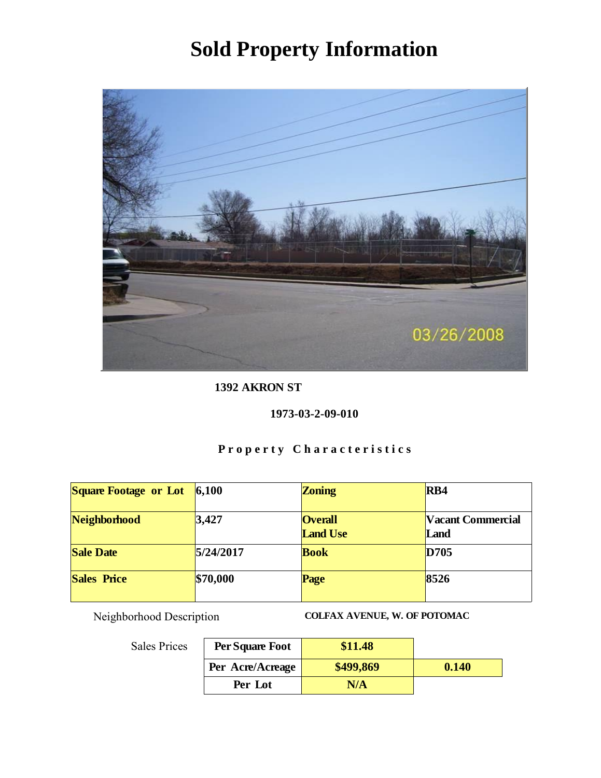

1392 AKRON ST

1973-03-2-09-010

# Property Characteristics

| Square Footage or Lot | 6,100     | Zoning                            | RB4                       |
|-----------------------|-----------|-----------------------------------|---------------------------|
| Neighborhood          | 3,427     | <b>Overall</b><br><b>Land Use</b> | Vacant Commercial<br>Land |
| <b>Sale Date</b>      | 5/24/2017 | <b>Book</b>                       | D705                      |
| Sales Price           | \$70,000  | Page                              | 8526                      |

Neighborhood Description COLFAX AVENUE, W. OF POTOMAC

| Per Square Foot  | \$11.48   |       |
|------------------|-----------|-------|
| Per Acre/Acreage | \$499,869 | 0.140 |
| Per Lot          | N/A       |       |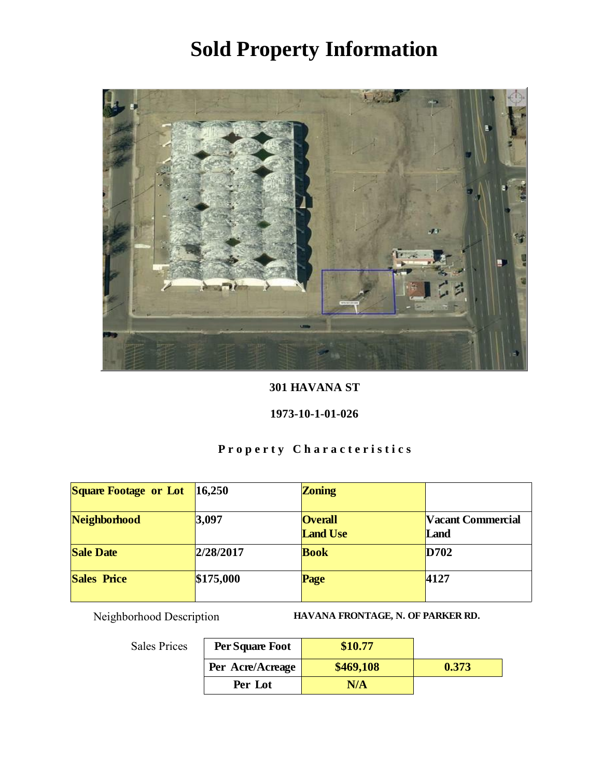

301 HAVANA ST

### 1973-10-1-01-026

# Property Characteristics

| <b>Square Footage or Lot</b> | 16,250    | Zoning                            |                           |
|------------------------------|-----------|-----------------------------------|---------------------------|
| Neighborhood                 | 3,097     | <b>Overall</b><br><b>Land Use</b> | Vacant Commercial<br>Land |
| <b>Sale Date</b>             | 2/28/2017 | <b>Book</b>                       | D702                      |
| <b>Sales Price</b>           | \$175,000 | Page                              | 4127                      |

Neighborhood Description HAVANA FRONTAGE, N. OF PARKER RD.

| :S | Per Square Foot  | \$10.77   |       |
|----|------------------|-----------|-------|
|    | Per Acre/Acreage | \$469,108 | 0.373 |
|    | Per Lot          | N/A       |       |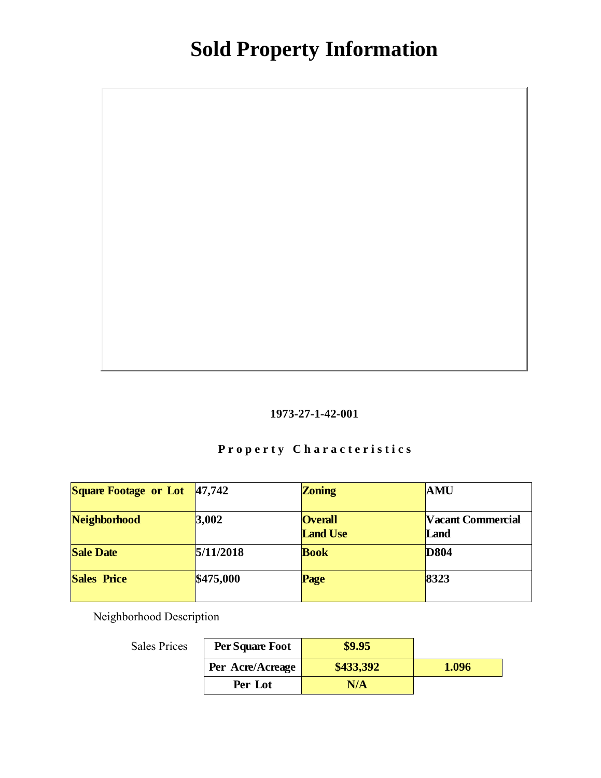

# Property Characteristics

| Square Footage or Lot | 47,742    | Zoning                            | <b>AMU</b>                |
|-----------------------|-----------|-----------------------------------|---------------------------|
| Neighborhood          | 3,002     | <b>Overall</b><br><b>Land Use</b> | Vacant Commercial<br>Land |
| Sale Date             | 5/11/2018 | <b>Book</b>                       | D804                      |
| <b>Sales Price</b>    | \$475,000 | Page                              | 8323                      |

Neighborhood Description

| Per Square Foot  | \$9.95    |       |
|------------------|-----------|-------|
| Per Acre/Acreage | \$433,392 | 1.096 |
| Per Lot          | N/A       |       |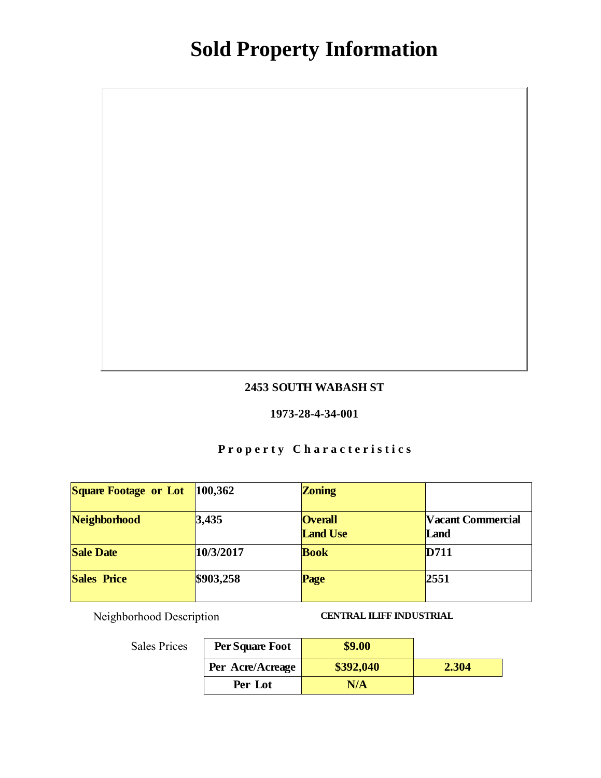### 2453 SOUTH WABASH ST

#### 1973-28-4-34-001

# Property Characteristics

| Square Footage or Lot | 100,362   | Zoning                            |                           |
|-----------------------|-----------|-----------------------------------|---------------------------|
| Neighborhood          | 3,435     | <b>Overall</b><br><b>Land Use</b> | Vacant Commercial<br>Land |
| <b>Sale Date</b>      | 10/3/2017 | <b>Book</b>                       | D711                      |
| Sales Price           | \$903,258 | Page                              | 2551                      |

Neighborhood Description CENTRAL ILIFF INDUSTRIAL

| Per Square Foot  | \$9.00    |       |
|------------------|-----------|-------|
| Per Acre/Acreage | \$392,040 | 2.304 |
| Per Lot          | N/A       |       |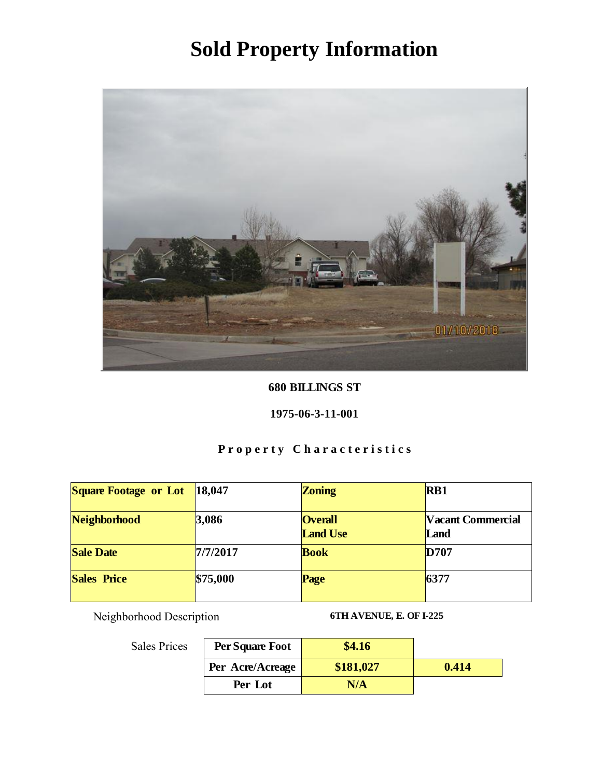

### 680 BILLINGS ST

### 1975-06-3-11-001

# Property Characteristics

| Square Footage or Lot | 18,047   | Zoning                            | RB1                       |
|-----------------------|----------|-----------------------------------|---------------------------|
| Neighborhood          | 3,086    | <b>Overall</b><br><b>Land Use</b> | Vacant Commercial<br>Land |
| <b>Sale Date</b>      | 7/7/2017 | <b>Book</b>                       | D707                      |
| Sales Price           | \$75,000 | Page                              | 6377                      |

Neighborhood Description 6TH AVENUE, E. OF I-225

| Per Square Foot  | \$4.16    |       |
|------------------|-----------|-------|
| Per Acre/Acreage | \$181,027 | 0.414 |
| Per Lot          | N/A       |       |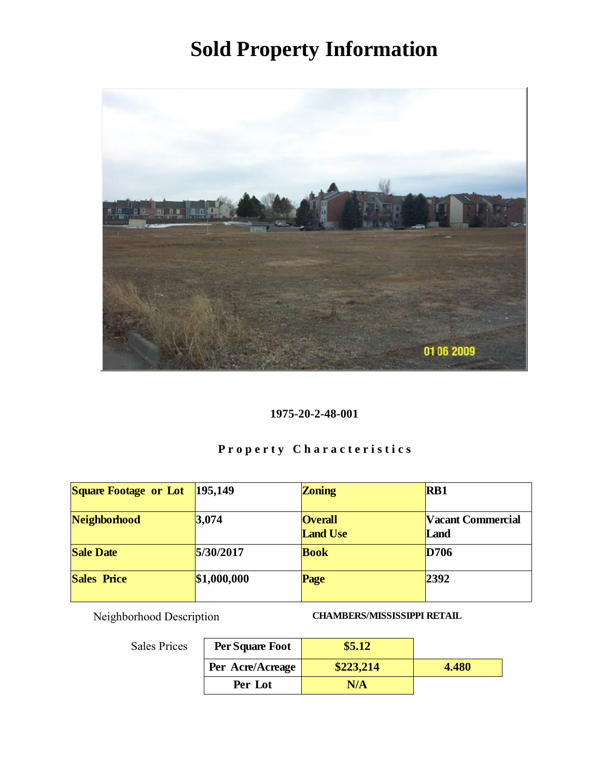

1975-20-2-48-001

# Property Characteristics

| Square Footage or Lot | 195,149     | Zoning                            | RB1                       |
|-----------------------|-------------|-----------------------------------|---------------------------|
| Neighborhood          | 3,074       | <b>Overall</b><br><b>Land Use</b> | Vacant Commercial<br>Land |
| <b>Sale Date</b>      | 5/30/2017   | <b>Book</b>                       | D706                      |
| <b>Sales Price</b>    | \$1,000,000 | Page                              | 2392                      |

Neighborhood Description CHAMBERS/MISSISSIPPI RETAIL

| Per Square Foot  | \$5.12    |       |
|------------------|-----------|-------|
| Per Acre/Acreage | \$223,214 | 4.480 |
| Per Lot          | N/A       |       |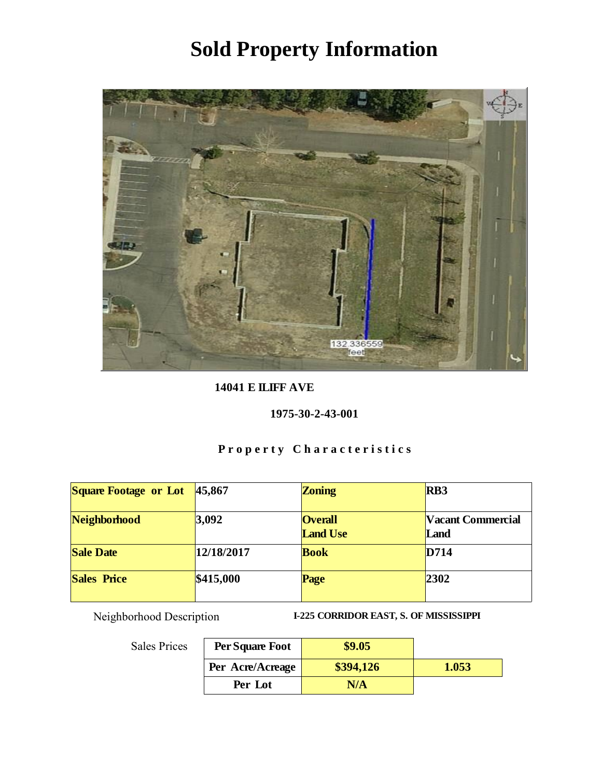

14041 E ILIFF AVE

1975-30-2-43-001

# Property Characteristics

| Square Footage or Lot | 45,867     | Zoning                            | RB <sub>3</sub>           |
|-----------------------|------------|-----------------------------------|---------------------------|
| Neighborhood          | 3,092      | <b>Overall</b><br><b>Land Use</b> | Vacant Commercial<br>Land |
| <b>Sale Date</b>      | 12/18/2017 | <b>Book</b>                       | D714                      |
| <b>Sales Price</b>    | \$415,000  | Page                              | 2302                      |

Neighborhood Description I-225 CORRIDOR EAST, S. OF MISSISSIPPI

| .s | Per Square Foot  | \$9.05    |       |
|----|------------------|-----------|-------|
|    | Per Acre/Acreage | \$394,126 | 1.053 |
|    | Per Lot          | N/A       |       |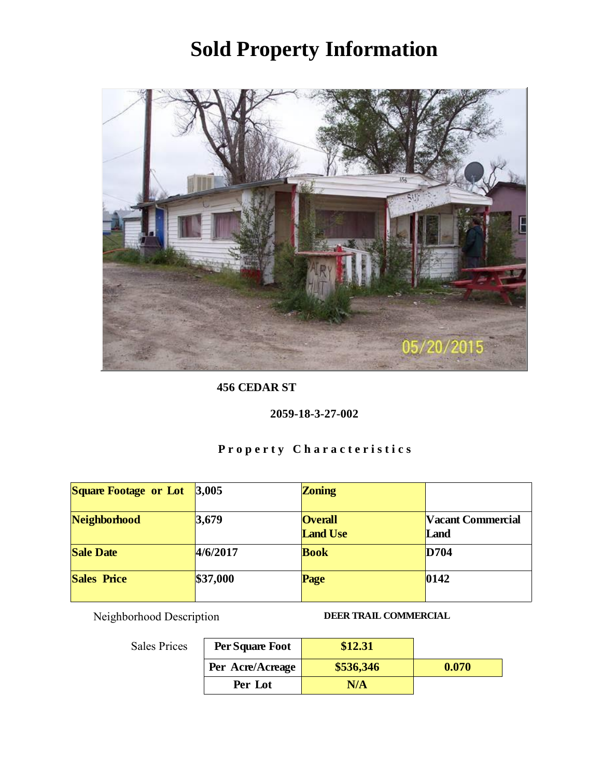

456 CEDAR ST

2059-18-3-27-002

# Property Characteristics

| Square Footage or Lot | 3,005    | Zoning                            |                           |
|-----------------------|----------|-----------------------------------|---------------------------|
| Neighborhood          | 3,679    | <b>Overall</b><br><b>Land Use</b> | Vacant Commercial<br>Land |
| <b>Sale Date</b>      | 4/6/2017 | <b>Book</b>                       | D704                      |
| Sales Price           | \$37,000 | Page                              | $ 0142\rangle$            |

Neighborhood Description DEER TRAIL COMMERCIAL

| .s | Per Square Foot  | \$12.31   |       |
|----|------------------|-----------|-------|
|    | Per Acre/Acreage | \$536,346 | 0.070 |
|    | Per Lot          | N/A       |       |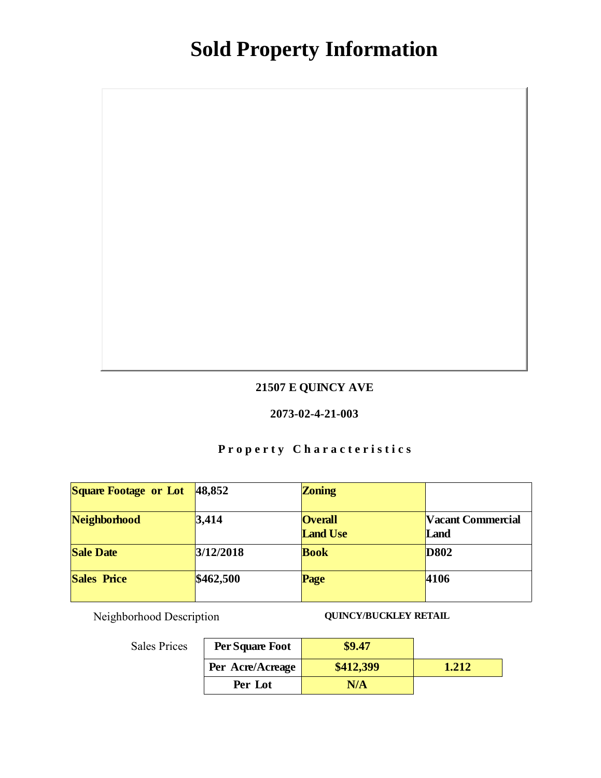### 21507 E QUINCY AVE

#### 2073-02-4-21-003

# Property Characteristics

| Square Footage or Lot | 48,852    | Zoning                            |                           |
|-----------------------|-----------|-----------------------------------|---------------------------|
| Neighborhood          | 3,414     | <b>Overall</b><br><b>Land Use</b> | Vacant Commercial<br>Land |
| <b>Sale Date</b>      | 3/12/2018 | <b>Book</b>                       | D802                      |
| Sales Price           | \$462,500 | Page                              | 4106                      |

Neighborhood Description QUINCY/BUCKLEY RETAIL

| Per Square Foot  | \$9.47    |              |
|------------------|-----------|--------------|
| Per Acre/Acreage | \$412,399 | $\sqrt{217}$ |
| Per Lot          | N/A       |              |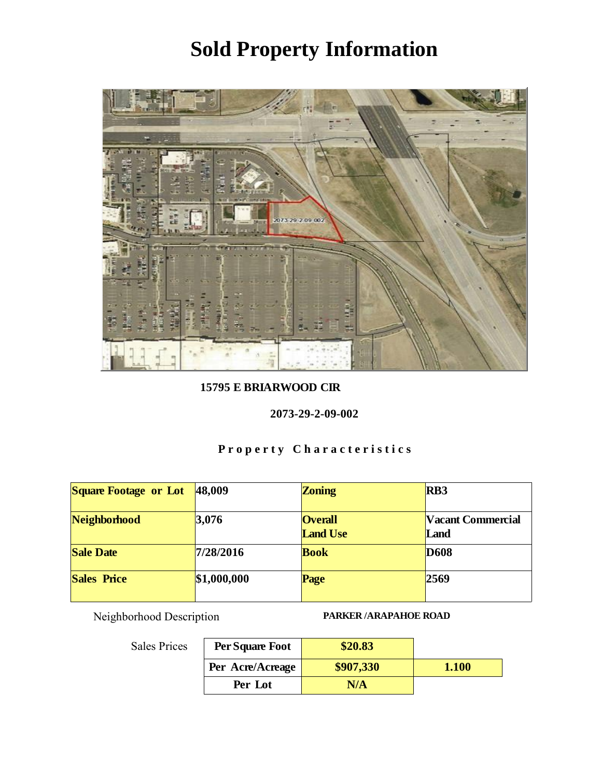

15795 E BRIARWOOD CIR

2073-29-2-09-002

# Property Characteristics

| <b>Square Footage or Lot</b> | 48,009      | Zoning                            | R <sub>B</sub> 3          |
|------------------------------|-------------|-----------------------------------|---------------------------|
| Neighborhood                 | 3,076       | <b>Overall</b><br><b>Land Use</b> | Vacant Commercial<br>Land |
| <b>Sale Date</b>             | 7/28/2016   | <b>Book</b>                       | D <sub>608</sub>          |
| <b>Sales Price</b>           | \$1,000,000 | Page                              | 2569                      |

Neighborhood Description PARKER /ARAPAHOE ROAD

| Per Square Foot  | \$20.83   |       |
|------------------|-----------|-------|
| Per Acre/Acreage | \$907,330 | 1.100 |
| Per Lot          | N/A       |       |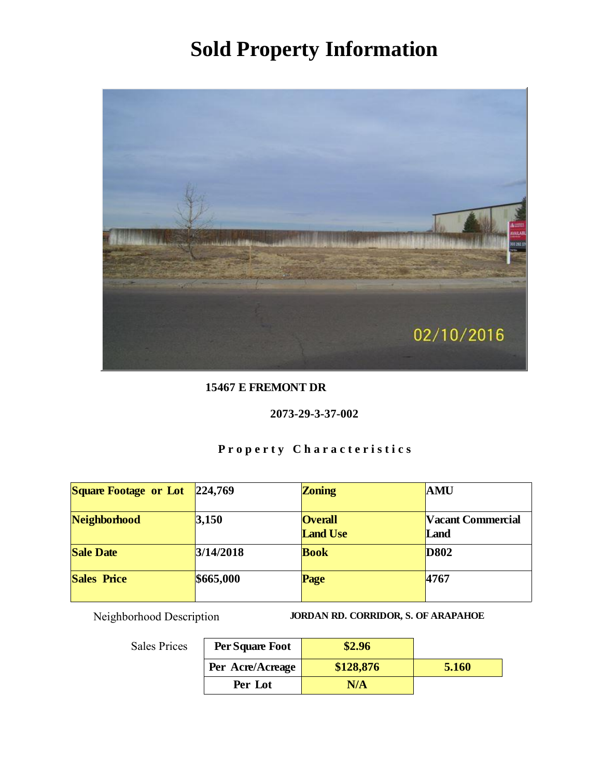

15467 E FREMONT DR

### 2073-29-3-37-002

# Property Characteristics

| Square Footage or Lot | 224,769   | Zoning                            | AMU                       |
|-----------------------|-----------|-----------------------------------|---------------------------|
| Neighborhood          | 3,150     | <b>Overall</b><br><b>Land Use</b> | Vacant Commercial<br>Land |
| <b>Sale Date</b>      | 3/14/2018 | <b>Book</b>                       | D802                      |
| <b>Sales Price</b>    | \$665,000 | Page                              | 4767                      |

Neighborhood Description JORDAN RD. CORRIDOR, S. OF ARAPAHOE

| Per Square Foot  | \$2.96    |       |
|------------------|-----------|-------|
| Per Acre/Acreage | \$128,876 | 5.160 |
| Per Lot          | N/A       |       |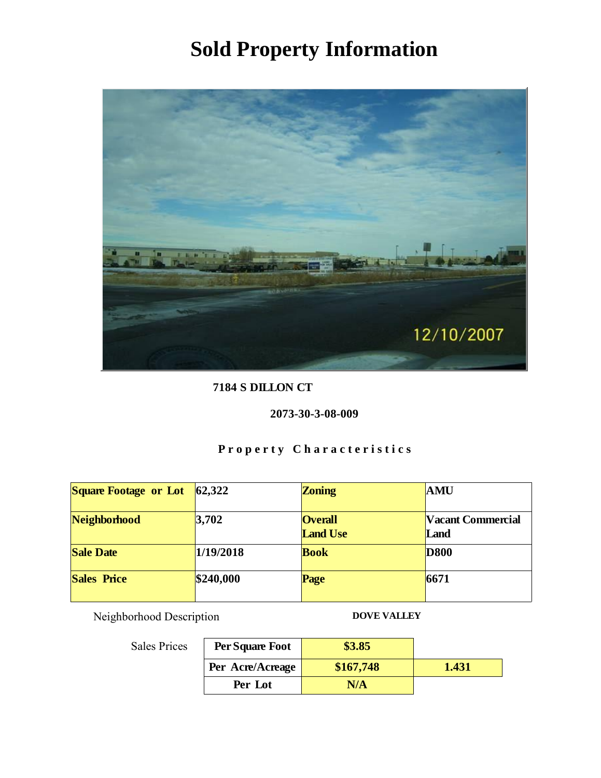

7184 S DILLON CT

### 2073-30-3-08-009

# Property Characteristics

| Square Footage or Lot | 62,322    | Zoning                            | AMU                       |
|-----------------------|-----------|-----------------------------------|---------------------------|
| Neighborhood          | 3,702     | <b>Overall</b><br><b>Land Use</b> | Vacant Commercial<br>Land |
| <b>Sale Date</b>      | 1/19/2018 | <b>Book</b>                       | <b>D</b> 800              |
| Sales Price           | \$240,000 | Page                              | 6671                      |

Neighborhood Description DOVE VALLEY

| Per Square Foot  | \$3.85    |       |
|------------------|-----------|-------|
| Per Acre/Acreage | \$167,748 | 1.431 |
| Per Lot          |           |       |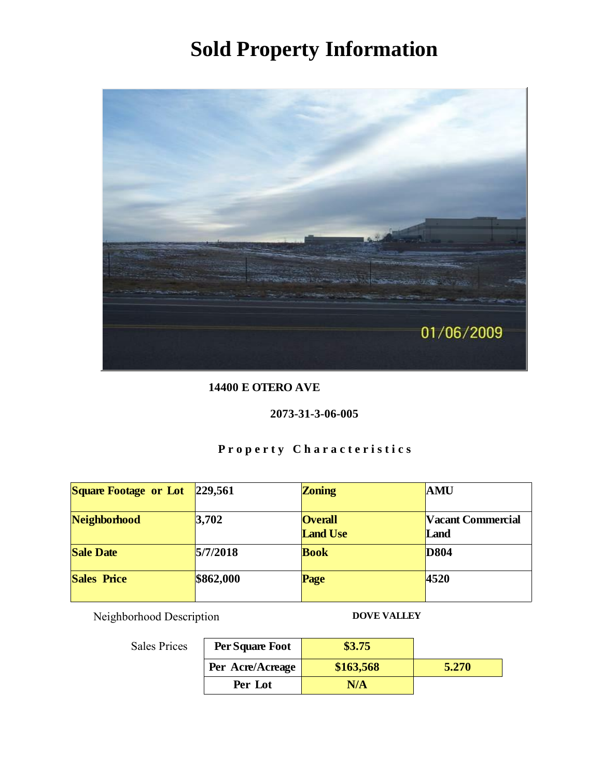

14400 E OTERO AVE

### 2073-31-3-06-005

# Property Characteristics

| <b>Square Footage or Lot</b> | 229,561   | Zoning                            | <b>AMU</b>                |
|------------------------------|-----------|-----------------------------------|---------------------------|
| Neighborhood                 | 3,702     | <b>Overall</b><br><b>Land Use</b> | Vacant Commercial<br>Land |
| <b>Sale Date</b>             | 5/7/2018  | <b>Book</b>                       | D804                      |
| Sales Price                  | \$862,000 | Page                              | 4520                      |

Neighborhood Description DOVE VALLEY

| Per Square Foot  | \$3.75    |       |
|------------------|-----------|-------|
| Per Acre/Acreage | \$163,568 | 5.270 |
| Per Lot          |           |       |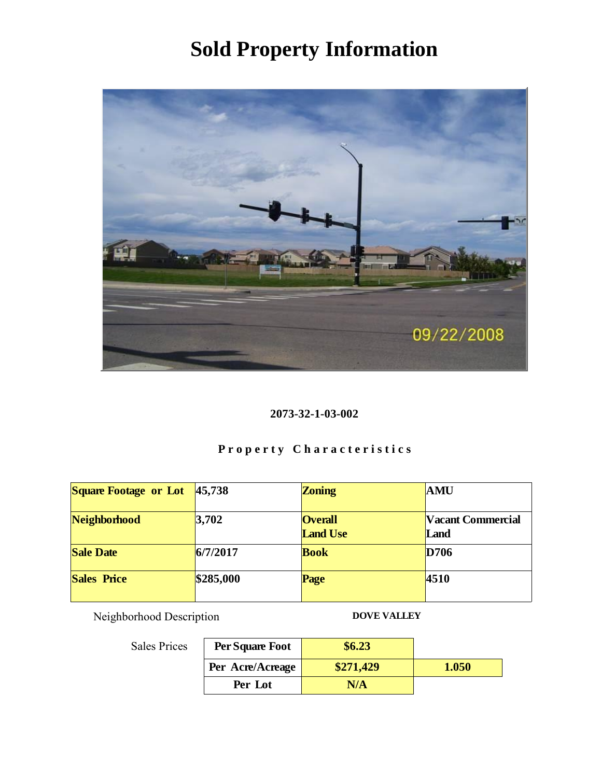

### 2073-32-1-03-002

# Property Characteristics

| <b>Square Footage or Lot</b> | 45,738    | Zoning                            | AMU                       |
|------------------------------|-----------|-----------------------------------|---------------------------|
| Neighborhood                 | 3,702     | <b>Overall</b><br><b>Land Use</b> | Vacant Commercial<br>Land |
| <b>Sale Date</b>             | 6/7/2017  | <b>Book</b>                       | D706                      |
| <b>Sales Price</b>           | \$285,000 | Page                              | 4510                      |

Neighborhood Description DOVE VALLEY

| Per Square Foot  | \$6.23    |       |
|------------------|-----------|-------|
| Per Acre/Acreage | \$271,429 | 1.050 |
| Per Lot          | N/A       |       |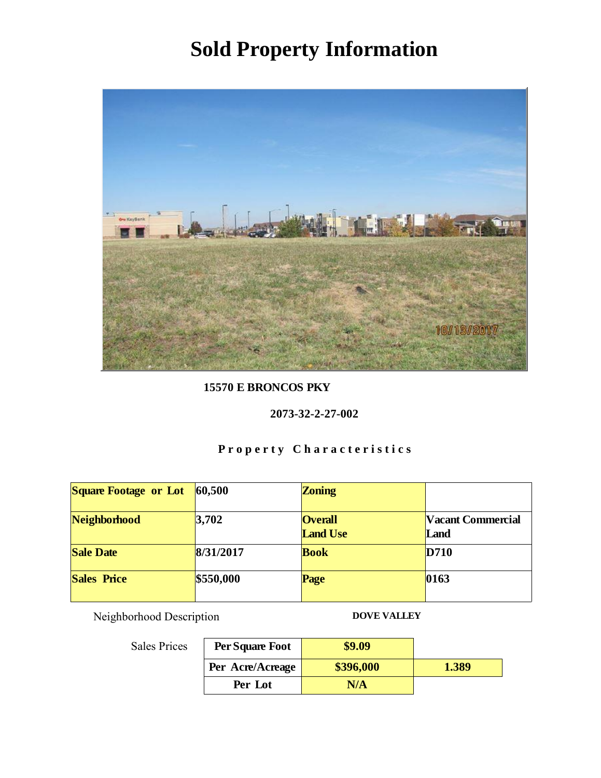

15570 E BRONCOS PKY

2073-32-2-27-002

# Property Characteristics

| <b>Square Footage or Lot</b> | 60,500    | Zoning                            |                           |
|------------------------------|-----------|-----------------------------------|---------------------------|
| Neighborhood                 | 3,702     | <b>Overall</b><br><b>Land Use</b> | Vacant Commercial<br>Land |
| <b>Sale Date</b>             | 8/31/2017 | <b>Book</b>                       | D710                      |
| <b>Sales Price</b>           | \$550,000 | Page                              | 0163                      |

Neighborhood Description DOVE VALLEY

| Per Square Foot  | \$9.09    |       |
|------------------|-----------|-------|
| Per Acre/Acreage | \$396,000 | 1.389 |
| Per Lot          | N/A       |       |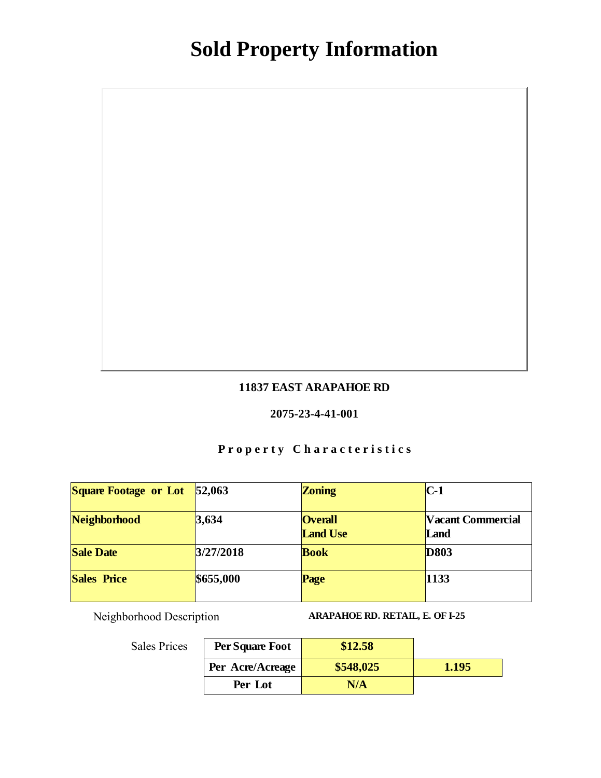### 11837 EAST ARAPAHOE RD

#### 2075-23-4-41-001

# Property Characteristics

| Square Footage or Lot | 52,063    | Zoning                            | $C-1$                     |
|-----------------------|-----------|-----------------------------------|---------------------------|
| Neighborhood          | 3,634     | <b>Overall</b><br><b>Land Use</b> | Vacant Commercial<br>Land |
| <b>Sale Date</b>      | 3/27/2018 | <b>Book</b>                       | D803                      |
| Sales Price           | \$655,000 | Page                              | 1133                      |

Neighborhood Description ARAPAHOE RD. RETAIL, E. OF I-25

| Per Square Foot  | \$12.58   |       |
|------------------|-----------|-------|
| Per Acre/Acreage | \$548,025 | 1.195 |
| Per Lot          | N/A       |       |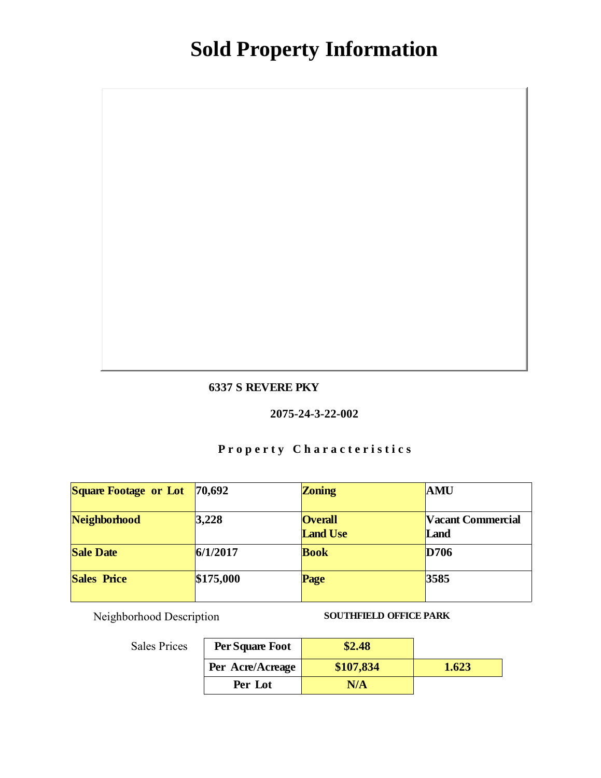### 6337 S REVERE PKY

#### 2075-24-3-22-002

# Property Characteristics

| <b>Square Footage or Lot</b> | 70,692    | Zoning                            | AMU                       |
|------------------------------|-----------|-----------------------------------|---------------------------|
| Neighborhood                 | 3,228     | <b>Overall</b><br><b>Land Use</b> | Vacant Commercial<br>Land |
| Sale Date                    | 6/1/2017  | <b>Book</b>                       | D706                      |
| Sales Price                  | \$175,000 | Page                              | 3585                      |

Neighborhood Description SOUTHFIELD OFFICE PARK

| Per Square Foot  | \$2.48    |       |
|------------------|-----------|-------|
| Per Acre/Acreage | \$107,834 | 1.623 |
| Per Lot          | N/A       |       |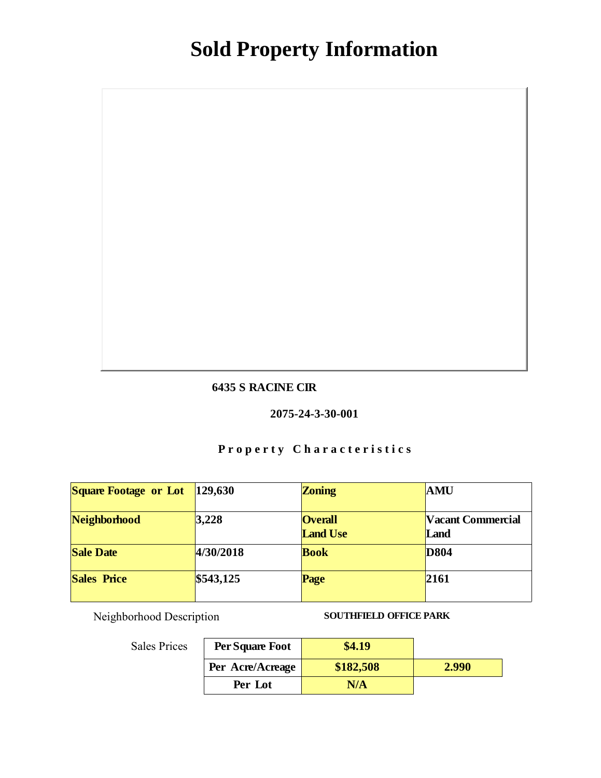#### 6435 S RACINE CIR

#### 2075-24-3-30-001

# Property Characteristics

| Square Footage or Lot | 129,630   | Zoning                            | AMU                       |
|-----------------------|-----------|-----------------------------------|---------------------------|
| Neighborhood          | 3,228     | <b>Overall</b><br><b>Land Use</b> | Vacant Commercial<br>Land |
| <b>Sale Date</b>      | 4/30/2018 | <b>Book</b>                       | D804                      |
| <b>Sales Price</b>    | \$543,125 | Page                              | 2161                      |

Neighborhood Description SOUTHFIELD OFFICE PARK

| Per Square Foot  | \$4.19    |       |
|------------------|-----------|-------|
| Per Acre/Acreage | \$182,508 | 2.990 |
| Per Lot          | N/A       |       |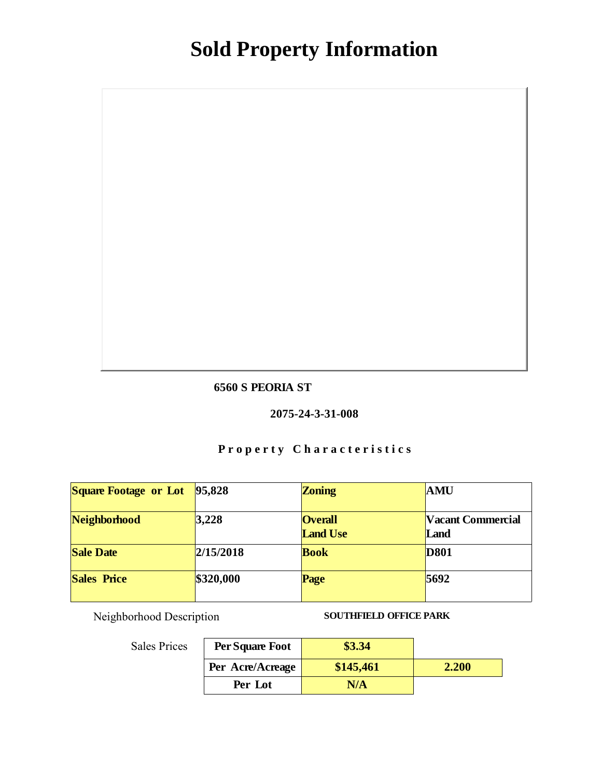### 6560 S PEORIA ST

#### 2075-24-3-31-008

# Property Characteristics

| Square Footage or Lot | 95,828    | Zoning                            | AMU                       |
|-----------------------|-----------|-----------------------------------|---------------------------|
| Neighborhood          | 3,228     | <b>Overall</b><br><b>Land Use</b> | Vacant Commercial<br>Land |
| <b>Sale Date</b>      | 2/15/2018 | <b>Book</b>                       | D801                      |
| Sales Price           | \$320,000 | Page                              | 5692                      |

Neighborhood Description SOUTHFIELD OFFICE PARK

| Per Square Foot  | \$3.34    |       |
|------------------|-----------|-------|
| Per Acre/Acreage | \$145,461 | 2.200 |
| Per Lot          | N/A       |       |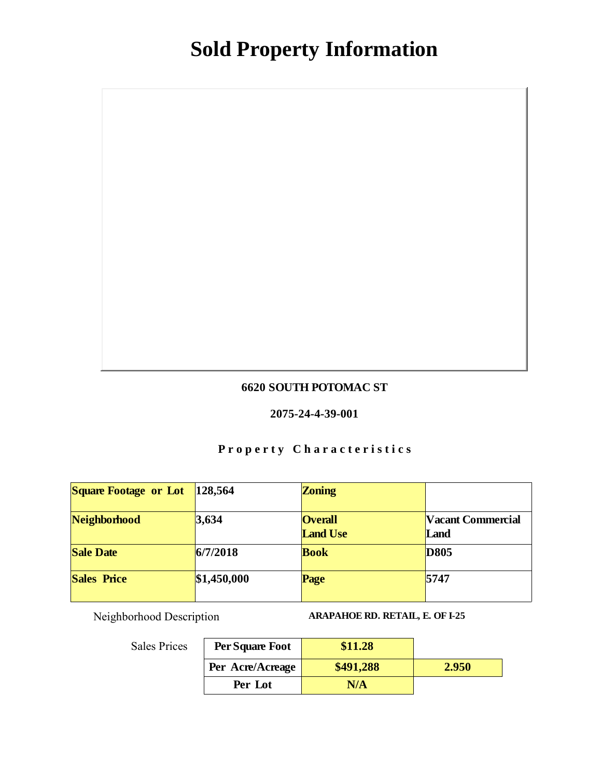### 6620 SOUTH POTOMAC ST

#### 2075-24-4-39-001

# Property Characteristics

| Square Footage or Lot | 128,564     | Zoning                            |                           |
|-----------------------|-------------|-----------------------------------|---------------------------|
| Neighborhood          | 3,634       | <b>Overall</b><br><b>Land Use</b> | Vacant Commercial<br>Land |
| Sale Date             | 6/7/2018    | <b>Book</b>                       | D805                      |
| Sales Price           | \$1,450,000 | Page                              | 5747                      |

Neighborhood Description ARAPAHOE RD. RETAIL, E. OF I-25

| Per Square Foot  | \$11.28   |       |
|------------------|-----------|-------|
| Per Acre/Acreage | \$491,288 | 2.950 |
| Per Lot          | N/A       |       |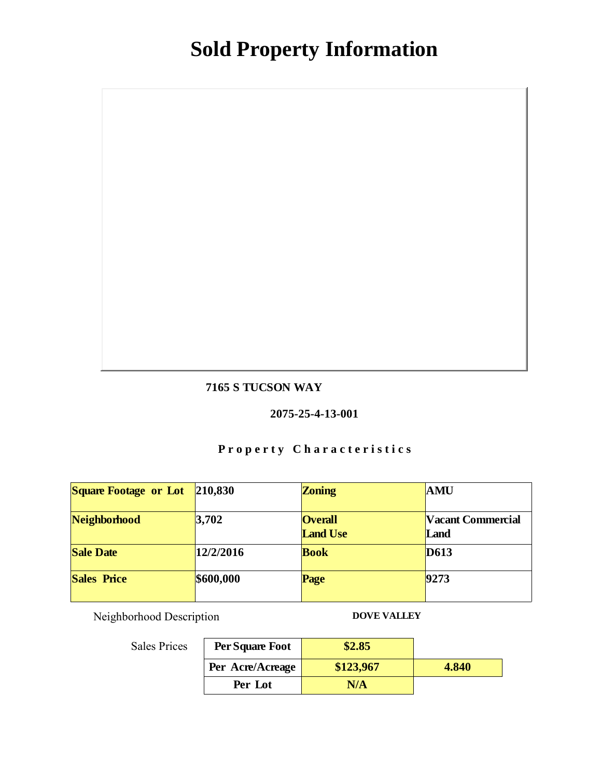### 7165 S TUCSON WAY

#### 2075-25-4-13-001

# Property Characteristics

| Square Footage or Lot | 210,830   | Zoning                            | <b>AMU</b>                |
|-----------------------|-----------|-----------------------------------|---------------------------|
| Neighborhood          | 3,702     | <b>Overall</b><br><b>Land Use</b> | Vacant Commercial<br>Land |
| <b>Sale Date</b>      | 12/2/2016 | <b>Book</b>                       | D613                      |
| <b>Sales Price</b>    | \$600,000 | Page                              | 9273                      |

Neighborhood Description DOVE VALLEY

Sales Prices

### Per Square Foot \$2.85 Per Acre/Acreage \$123,967 Per Lot N/A 4.840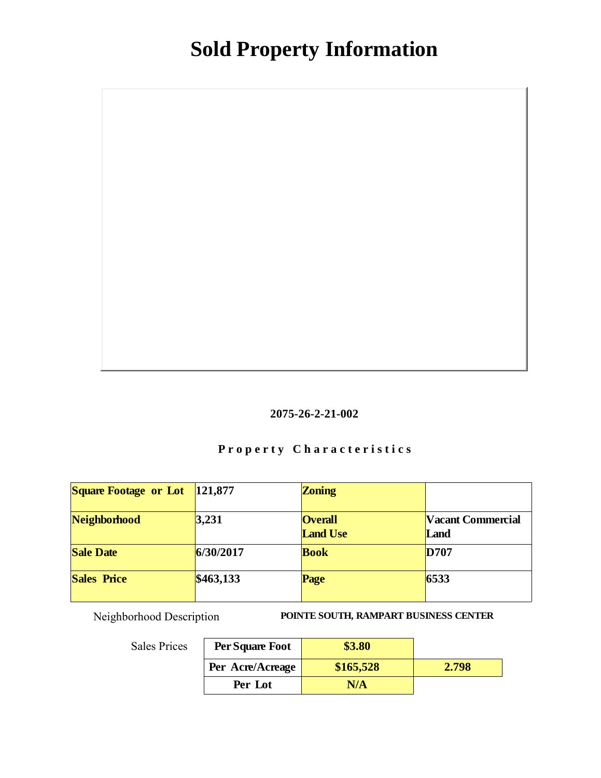

# Property Characteristics

| <b>Square Footage or Lot</b> | 121,877   | Zoning                            |                           |
|------------------------------|-----------|-----------------------------------|---------------------------|
| Neighborhood                 | 3,231     | <b>Overall</b><br><b>Land Use</b> | Vacant Commercial<br>Land |
| Sale Date                    | 6/30/2017 | <b>Book</b>                       | D707                      |
| Sales Price                  | \$463,133 | Page                              | 6533                      |

Neighborhood Description POINTE SOUTH, RAMPART BUSINESS CENTER

| Per Square Foot  | \$3.80    |       |
|------------------|-----------|-------|
| Per Acre/Acreage | \$165,528 | 2.798 |
| Per Lot          | N/A       |       |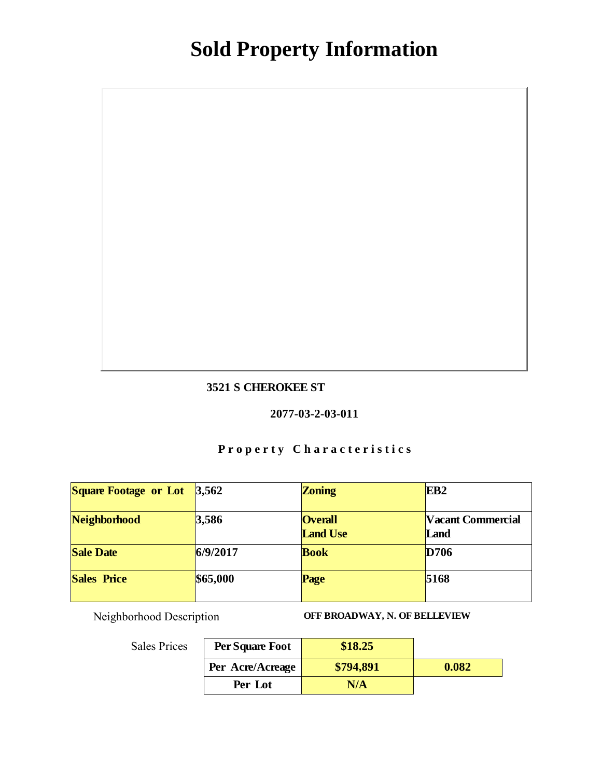### 3521 S CHEROKEE ST

#### 2077-03-2-03-011

# Property Characteristics

| Square Footage or Lot | 3,562    | Zoning                            | EB <sub>2</sub>           |
|-----------------------|----------|-----------------------------------|---------------------------|
| Neighborhood          | 3,586    | <b>Overall</b><br><b>Land Use</b> | Vacant Commercial<br>Land |
| <b>Sale Date</b>      | 6/9/2017 | <b>Book</b>                       | D706                      |
| Sales Price           | \$65,000 | Page                              | 5168                      |

Neighborhood Description OFF BROADWAY, N. OF BELLEVIEW

| Per Square Foot  | \$18.25   |       |
|------------------|-----------|-------|
| Per Acre/Acreage | \$794,891 | 0.082 |
| Per Lot          | N/A       |       |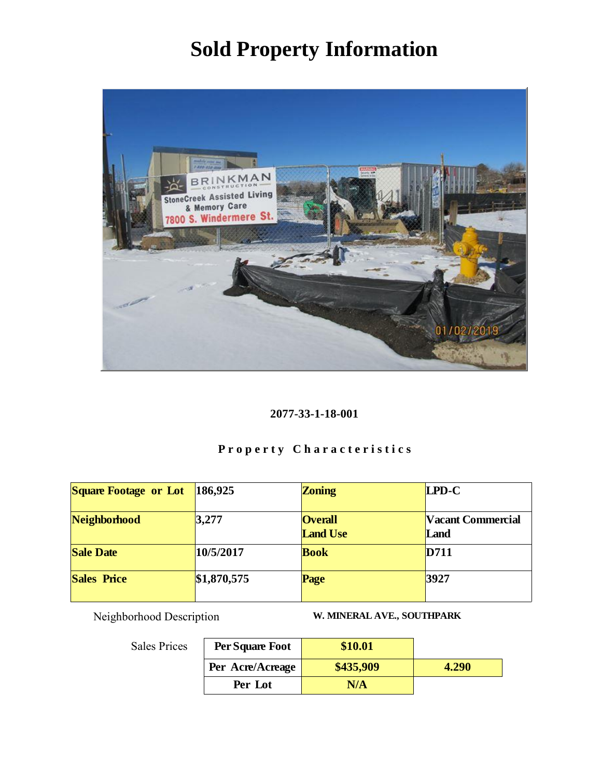

### 2077-33-1-18-001

# Property Characteristics

| Square Footage or Lot | 186,925     | Zoning                            | LPD-C                     |
|-----------------------|-------------|-----------------------------------|---------------------------|
| Neighborhood          | 3,277       | <b>Overall</b><br><b>Land Use</b> | Vacant Commercial<br>Land |
| <b>Sale Date</b>      | 10/5/2017   | <b>Book</b>                       | D711                      |
| <b>Sales Price</b>    | \$1,870,575 | Page                              | 3927                      |

Neighborhood Description W. MINERAL AVE., SOUTHPARK

| .s | Per Square Foot  | \$10.01   |       |
|----|------------------|-----------|-------|
|    | Per Acre/Acreage | \$435,909 | 4.290 |
|    | Per Lot          | N/A       |       |